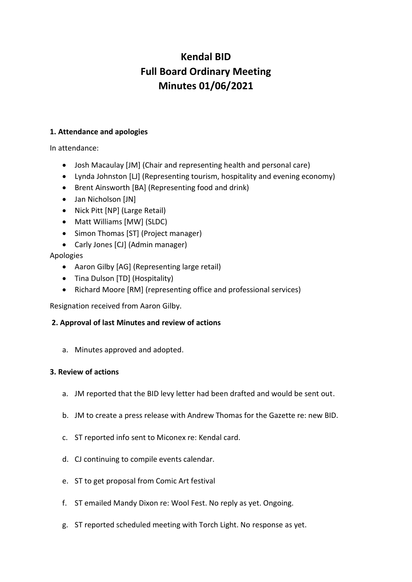# **Kendal BID Full Board Ordinary Meeting Minutes 01/06/2021**

## **1. Attendance and apologies**

In attendance:

- Josh Macaulay [JM] (Chair and representing health and personal care)
- Lynda Johnston [LJ] (Representing tourism, hospitality and evening economy)
- Brent Ainsworth [BA] (Representing food and drink)
- Jan Nicholson [JN]
- Nick Pitt [NP] (Large Retail)
- Matt Williams [MW] (SLDC)
- Simon Thomas [ST] (Project manager)
- Carly Jones [CJ] (Admin manager)

Apologies

- Aaron Gilby [AG] (Representing large retail)
- Tina Dulson [TD] (Hospitality)
- Richard Moore [RM] (representing office and professional services)

Resignation received from Aaron Gilby.

# **2. Approval of last Minutes and review of actions**

a. Minutes approved and adopted.

## **3. Review of actions**

- a. JM reported that the BID levy letter had been drafted and would be sent out.
- b. JM to create a press release with Andrew Thomas for the Gazette re: new BID.
- c. ST reported info sent to Miconex re: Kendal card.
- d. CJ continuing to compile events calendar.
- e. ST to get proposal from Comic Art festival
- f. ST emailed Mandy Dixon re: Wool Fest. No reply as yet. Ongoing.
- g. ST reported scheduled meeting with Torch Light. No response as yet.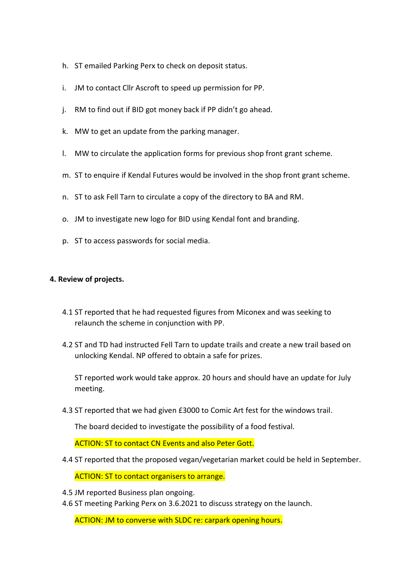- h. ST emailed Parking Perx to check on deposit status.
- i. JM to contact Cllr Ascroft to speed up permission for PP.
- j. RM to find out if BID got money back if PP didn't go ahead.
- k. MW to get an update from the parking manager.
- l. MW to circulate the application forms for previous shop front grant scheme.
- m. ST to enquire if Kendal Futures would be involved in the shop front grant scheme.
- n. ST to ask Fell Tarn to circulate a copy of the directory to BA and RM.
- o. JM to investigate new logo for BID using Kendal font and branding.
- p. ST to access passwords for social media.

#### **4. Review of projects.**

- 4.1 ST reported that he had requested figures from Miconex and was seeking to relaunch the scheme in conjunction with PP.
- 4.2 ST and TD had instructed Fell Tarn to update trails and create a new trail based on unlocking Kendal. NP offered to obtain a safe for prizes.

ST reported work would take approx. 20 hours and should have an update for July meeting.

4.3 ST reported that we had given £3000 to Comic Art fest for the windows trail.

The board decided to investigate the possibility of a food festival.

ACTION: ST to contact CN Events and also Peter Gott.

4.4 ST reported that the proposed vegan/vegetarian market could be held in September.

ACTION: ST to contact organisers to arrange.

- 4.5 JM reported Business plan ongoing.
- 4.6 ST meeting Parking Perx on 3.6.2021 to discuss strategy on the launch.

ACTION: JM to converse with SLDC re: carpark opening hours.